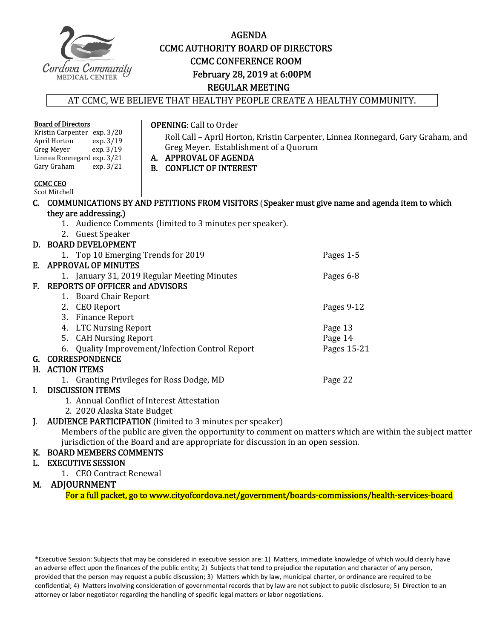

#### AGENDA **CCMC AUTHORITY BOARD OF DIRECTORS CCMC CONFERENCE ROOM** February 28, 2019 at 6:00PM REGULAR MEETING

#### AT CCMC, WE BELIEVE THAT HEALTHY PEOPLE CREATE A HEALTHY COMMUNITY.

| <b>Board of Directors</b><br>Kristin Carpenter exp. 3/20<br>April Horton<br>exp. 3/19<br>Greg Meyer exp. 3/19<br>Linnea Ronnegard exp. 3/21<br>Gary Graham<br>exp. $3/21$ | <b>OPENING: Call to Order</b><br>Greg Meyer. Establishment of a Quorum<br>A. APPROVAL OF AGENDA<br><b>B. CONFLICT OF INTEREST</b> | Roll Call - April Horton, Kristin Carpenter, Linnea Ronnegard, Gary Graham, and |
|---------------------------------------------------------------------------------------------------------------------------------------------------------------------------|-----------------------------------------------------------------------------------------------------------------------------------|---------------------------------------------------------------------------------|
| <b>CCMC CEO</b><br>Scot Mitchell                                                                                                                                          |                                                                                                                                   |                                                                                 |
| C. COMMUNICATIONS BY AND PETITIONS FROM VISITORS (Speaker must give name and agenda item to which                                                                         |                                                                                                                                   |                                                                                 |
| they are addressing.)                                                                                                                                                     |                                                                                                                                   |                                                                                 |
| 1. Audience Comments (limited to 3 minutes per speaker).                                                                                                                  |                                                                                                                                   |                                                                                 |
| 2. Guest Speaker                                                                                                                                                          |                                                                                                                                   |                                                                                 |
| D. BOARD DEVELOPMENT                                                                                                                                                      |                                                                                                                                   |                                                                                 |
| 1. Top 10 Emerging Trends for 2019                                                                                                                                        |                                                                                                                                   | Pages 1-5                                                                       |
| E. APPROVAL OF MINUTES                                                                                                                                                    |                                                                                                                                   |                                                                                 |
| 1. January 31, 2019 Regular Meeting Minutes                                                                                                                               |                                                                                                                                   | Pages 6-8                                                                       |
| F. REPORTS OF OFFICER and ADVISORS                                                                                                                                        |                                                                                                                                   |                                                                                 |
| 1. Board Chair Report                                                                                                                                                     |                                                                                                                                   |                                                                                 |
| 2. CEO Report                                                                                                                                                             |                                                                                                                                   | Pages 9-12                                                                      |
| 3. Finance Report                                                                                                                                                         |                                                                                                                                   |                                                                                 |
| 4. LTC Nursing Report                                                                                                                                                     |                                                                                                                                   | Page 13                                                                         |
| 5. CAH Nursing Report                                                                                                                                                     |                                                                                                                                   | Page 14                                                                         |
| Quality Improvement/Infection Control Report<br>6.                                                                                                                        |                                                                                                                                   | Pages 15-21                                                                     |
| G. CORRESPONDENCE                                                                                                                                                         |                                                                                                                                   |                                                                                 |
| H. ACTION ITEMS                                                                                                                                                           |                                                                                                                                   |                                                                                 |
| 1. Granting Privileges for Ross Dodge, MD<br>Page 22                                                                                                                      |                                                                                                                                   |                                                                                 |
| <b>DISCUSSION ITEMS</b><br>L                                                                                                                                              |                                                                                                                                   |                                                                                 |
| 1. Annual Conflict of Interest Attestation                                                                                                                                |                                                                                                                                   |                                                                                 |
| 2. 2020 Alaska State Budget                                                                                                                                               |                                                                                                                                   |                                                                                 |
| <b>AUDIENCE PARTICIPATION</b> (limited to 3 minutes per speaker)<br>L.                                                                                                    |                                                                                                                                   |                                                                                 |
| Members of the public are given the opportunity to comment on matters which are within the subject matter                                                                 |                                                                                                                                   |                                                                                 |
| jurisdiction of the Board and are appropriate for discussion in an open session.                                                                                          |                                                                                                                                   |                                                                                 |
| K. BOARD MEMBERS COMMENTS                                                                                                                                                 |                                                                                                                                   |                                                                                 |
| <b>EXECUTIVE SESSION</b><br>L.                                                                                                                                            |                                                                                                                                   |                                                                                 |
| 1. CEO Contract Renewal                                                                                                                                                   |                                                                                                                                   |                                                                                 |

#### M. ADJOURNMENT

For a full packet, go to www.cityofcordova.net/government/boards-commissions/health-services-board

\*Executive Session: Subjects that may be considered in executive session are: 1) Matters, immediate knowledge of which would clearly have an adverse effect upon the finances of the public entity; 2) Subjects that tend to prejudice the reputation and character of any person, provided that the person may request a public discussion; 3) Matters which by law, municipal charter, or ordinance are required to be confidential; 4) Matters involving consideration of governmental records that by law are not subject to public disclosure; 5) Direction to an attorney or labor negotiator regarding the handling of specific legal matters or labor negotiations.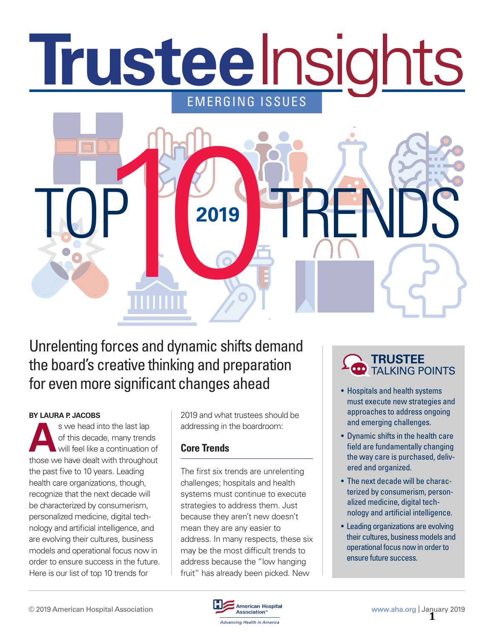# Trusteelnsights EMERGING ISSUES



Unrelenting forces and dynamic shifts demand the board's creative thinking and preparation for even more significant changes ahead • Hospitals and health systems

#### **BY LAURA P. JACOBS**

**A** s we head into the last lap of this decade, many trends will feel like a continuation of those we have dealt with throughout the past five to 10 years. Leading health care organizations, though, recognize that the next decade will be characterized by consumerism, personalized medicine, digital technology and artificial intelligence, and are evolving their cultures, business models and operational focus now in order to ensure success in the future. Here is our list of top 10 trends for

2019 and what trustees should be addressing in the boardroom:

#### **Core Trends**

The first six trends are unrelenting challenges; hospitals and health systems must continue to execute strategies to address them. Just because they aren't new doesn't mean they are any easier to address. In many respects, these six may be the most difficult trends to address because the "low hanging fruit" has already been picked. New



- must execute new strategies and approaches to address ongoing and emerging challenges.
- Dynamic shifts in the health care field are fundamentally changing the way care is purchased, delivered and organized.
- The next decade will be characterized by consumerism, personalized medicine, digital technology and artificial intelligence.
- Leading organizations are evolving their cultures, business models and operational focus now in order to ensure future success.

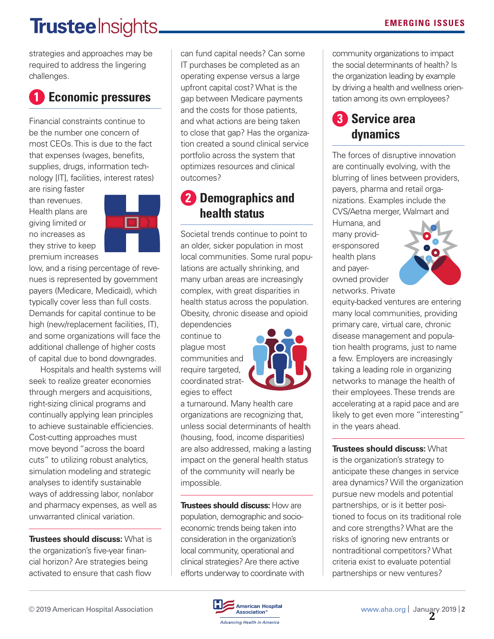# **Trustee** Insights.

strategies and approaches may be required to address the lingering challenges.

### **1 Economic pressures**

Financial constraints continue to be the number one concern of most CEOs. This is due to the fact that expenses (wages, benefits, supplies, drugs, information technology [IT], facilities, interest rates)

are rising faster than revenues. Health plans are giving limited or no increases as they strive to keep premium increases



low, and a rising percentage of revenues is represented by government payers (Medicare, Medicaid), which typically cover less than full costs. Demands for capital continue to be high (new/replacement facilities, IT), and some organizations will face the additional challenge of higher costs of capital due to bond downgrades.

Hospitals and health systems will seek to realize greater economies through mergers and acquisitions, right-sizing clinical programs and continually applying lean principles to achieve sustainable efficiencies. Cost-cutting approaches must move beyond "across the board cuts" to utilizing robust analytics, simulation modeling and strategic analyses to identify sustainable ways of addressing labor, nonlabor and pharmacy expenses, as well as unwarranted clinical variation.

**Trustees should discuss:** What is the organization's five-year financial horizon? Are strategies being activated to ensure that cash flow

can fund capital needs? Can some IT purchases be completed as an operating expense versus a large upfront capital cost? What is the gap between Medicare payments and the costs for those patients, and what actions are being taken to close that gap? Has the organization created a sound clinical service portfolio across the system that optimizes resources and clinical outcomes?

### **2 Demographics and health status**

Societal trends continue to point to an older, sicker population in most local communities. Some rural populations are actually shrinking, and many urban areas are increasingly complex, with great disparities in health status across the population. Obesity, chronic disease and opioid dependencies

continue to plague most communities and require targeted, coordinated strategies to effect



a turnaround. Many health care organizations are recognizing that, unless social determinants of health (housing, food, income disparities) are also addressed, making a lasting impact on the general health status of the community will nearly be impossible.

**Trustees should discuss:** How are population, demographic and socioeconomic trends being taken into consideration in the organization's local community, operational and clinical strategies? Are there active efforts underway to coordinate with community organizations to impact the social determinants of health? Is the organization leading by example by driving a health and wellness orientation among its own employees?

### **3 Service area dynamics**

The forces of disruptive innovation are continually evolving, with the blurring of lines between providers, payers, pharma and retail organizations. Examples include the CVS/Aetna merger, Walmart and

Humana, and many provider-sponsored health plans and payerowned provider networks. Private



equity-backed ventures are entering many local communities, providing primary care, virtual care, chronic disease management and population health programs, just to name a few. Employers are increasingly taking a leading role in organizing networks to manage the health of their employees. These trends are accelerating at a rapid pace and are likely to get even more "interesting" in the years ahead.

**Trustees should discuss:** What is the organization's strategy to anticipate these changes in service area dynamics? Will the organization pursue new models and potential partnerships, or is it better positioned to focus on its traditional role and core strengths? What are the risks of ignoring new entrants or nontraditional competitors? What criteria exist to evaluate potential partnerships or new ventures?

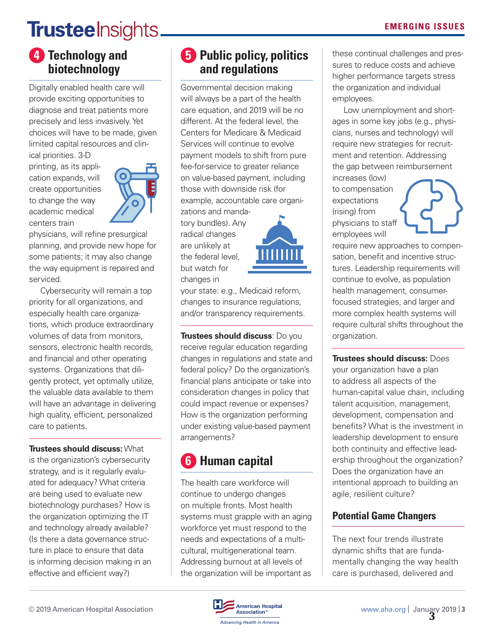# **Trustee** Insights.

#### **4 Technology and biotechnology**

Digitally enabled health care will provide exciting opportunities to diagnose and treat patients more precisely and less invasively. Yet choices will have to be made, given limited capital resources and clinical priorities. 3-D

printing, as its application expands, will create opportunities to change the way academic medical centers train



physicians, will refine presurgical planning, and provide new hope for some patients; it may also change the way equipment is repaired and serviced.

Cybersecurity will remain a top priority for all organizations, and especially health care organizations, which produce extraordinary volumes of data from monitors, sensors, electronic health records, and financial and other operating systems. Organizations that diligently protect, yet optimally utilize, the valuable data available to them will have an advantage in delivering high quality, efficient, personalized care to patients.

#### **Trustees should discuss:** What

is the organization's cybersecurity strategy, and is it regularly evaluated for adequacy? What criteria are being used to evaluate new biotechnology purchases? How is the organization optimizing the IT and technology already available? (Is there a data governance structure in place to ensure that data is informing decision making in an effective and efficient way?)

#### **5** Public policy, politics **and regulations**

Governmental decision making will always be a part of the health care equation, and 2019 will be no different. At the federal level, the Centers for Medicare & Medicaid Services will continue to evolve payment models to shift from pure fee-for-service to greater reliance on value-based payment, including those with downside risk (for example, accountable care organi-

zations and mandatory bundles). Any radical changes are unlikely at the federal level, but watch for changes in



your state: e.g., Medicaid reform, changes to insurance regulations, and/or transparency requirements.

**Trustees should discuss**: Do you receive regular education regarding changes in regulations and state and federal policy? Do the organization's financial plans anticipate or take into consideration changes in policy that could impact revenue or expenses? How is the organization performing under existing value-based payment arrangements?

## **6 Human capital**

The health care workforce will continue to undergo changes on multiple fronts. Most health systems must grapple with an aging workforce yet must respond to the needs and expectations of a multicultural, multigenerational team. Addressing burnout at all levels of the organization will be important as

these continual challenges and pressures to reduce costs and achieve higher performance targets stress the organization and individual employees.

Low unemployment and shortages in some key jobs (e.g., physicians, nurses and technology) will require new strategies for recruitment and retention. Addressing the gap between reimbursement

increases (low) to compensation expectations (rising) from physicians to staff employees will

require new approaches to compensation, benefit and incentive structures. Leadership requirements will continue to evolve, as population health management, consumerfocused strategies, and larger and more complex health systems will require cultural shifts throughout the organization.

**Trustees should discuss:** Does your organization have a plan to address all aspects of the human-capital value chain, including talent acquisition, management, development, compensation and benefits? What is the investment in leadership development to ensure both continuity and effective leadership throughout the organization? Does the organization have an intentional approach to building an agile, resilient culture?

#### **Potential Game Changers**

The next four trends illustrate dynamic shifts that are fundamentally changing the way health care is purchased, delivered and

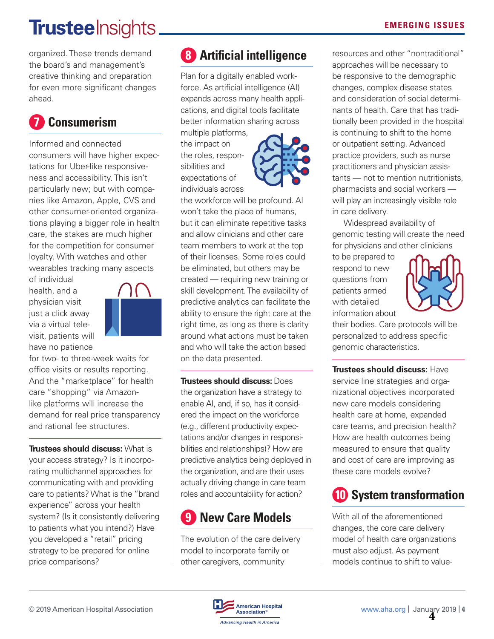# **Trusteelnsights\_**

organized. These trends demand the board's and management's creative thinking and preparation for even more significant changes ahead.

# **7 Consumerism**

Informed and connected consumers will have higher expectations for Uber-like responsiveness and accessibility. This isn't particularly new; but with companies like Amazon, Apple, CVS and other consumer-oriented organizations playing a bigger role in health care, the stakes are much higher for the competition for consumer loyalty. With watches and other wearables tracking many aspects

of individual health, and a physician visit just a click away via a virtual televisit, patients will have no patience



for two- to three-week waits for office visits or results reporting. And the "marketplace" for health care "shopping" via Amazonlike platforms will increase the demand for real price transparency and rational fee structures.

**Trustees should discuss:** What is your access strategy? Is it incorporating multichannel approaches for communicating with and providing care to patients? What is the "brand experience" across your health system? (Is it consistently delivering to patients what you intend?) Have you developed a "retail" pricing strategy to be prepared for online price comparisons?

# **8 Artificial intelligence**

Plan for a digitally enabled workforce. As artificial intelligence (AI) expands across many health applications, and digital tools facilitate better information sharing across

multiple platforms, the impact on the roles, responsibilities and expectations of individuals across



the workforce will be profound. AI won't take the place of humans, but it can eliminate repetitive tasks and allow clinicians and other care team members to work at the top of their licenses. Some roles could be eliminated, but others may be created — requiring new training or skill development. The availability of predictive analytics can facilitate the ability to ensure the right care at the right time, as long as there is clarity around what actions must be taken and who will take the action based on the data presented.

**Trustees should discuss:** Does the organization have a strategy to enable AI, and, if so, has it considered the impact on the workforce (e.g., different productivity expectations and/or changes in responsibilities and relationships)? How are predictive analytics being deployed in the organization, and are their uses actually driving change in care team roles and accountability for action?

## **9 New Care Models**

The evolution of the care delivery model to incorporate family or other caregivers, community

resources and other "nontraditional" approaches will be necessary to be responsive to the demographic changes, complex disease states and consideration of social determinants of health. Care that has traditionally been provided in the hospital is continuing to shift to the home or outpatient setting. Advanced practice providers, such as nurse practitioners and physician assistants — not to mention nutritionists, pharmacists and social workers will play an increasingly visible role in care delivery.

Widespread availability of genomic testing will create the need for physicians and other clinicians

to be prepared to respond to new questions from patients armed with detailed information about



their bodies. Care protocols will be personalized to address specific genomic characteristics.

**Trustees should discuss:** Have service line strategies and organizational objectives incorporated new care models considering health care at home, expanded care teams, and precision health? How are health outcomes being measured to ensure that quality and cost of care are improving as these care models evolve?

# **10 System transformation**

With all of the aforementioned changes, the core care delivery model of health care organizations must also adjust. As payment models continue to shift to value-

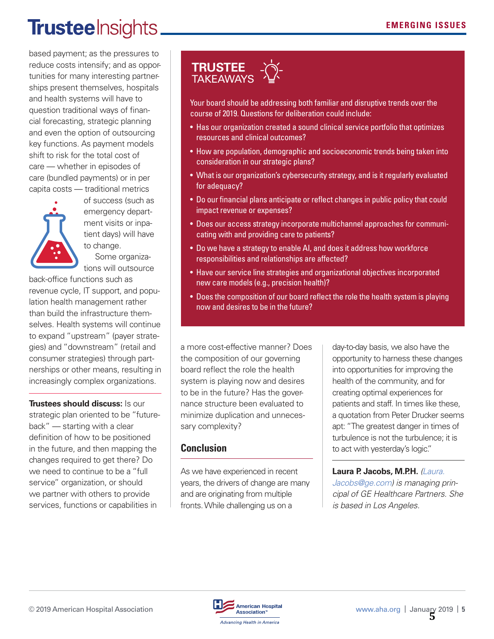# **Trustee** Insights.

based payment; as the pressures to reduce costs intensify; and as opportunities for many interesting partnerships present themselves, hospitals and health systems will have to question traditional ways of financial forecasting, strategic planning and even the option of outsourcing key functions. As payment models shift to risk for the total cost of care — whether in episodes of care (bundled payments) or in per capita costs — traditional metrics



of success (such as emergency department visits or inpatient days) will have to change.

Some organizations will outsource

back-office functions such as revenue cycle, IT support, and population health management rather than build the infrastructure themselves. Health systems will continue to expand "upstream" (payer strategies) and "downstream" (retail and consumer strategies) through partnerships or other means, resulting in increasingly complex organizations.

**Trustees should discuss:** Is our strategic plan oriented to be "futureback" — starting with a clear definition of how to be positioned in the future, and then mapping the changes required to get there? Do we need to continue to be a "full service" organization, or should we partner with others to provide services, functions or capabilities in

#### **TRUSTEE**  TAKEAWAYS

Your board should be addressing both familiar and disruptive trends over the course of 2019. Questions for deliberation could include:

- Has our organization created a sound clinical service portfolio that optimizes resources and clinical outcomes?
- How are population, demographic and socioeconomic trends being taken into consideration in our strategic plans?
- What is our organization's cybersecurity strategy, and is it regularly evaluated for adequacy?
- Do our financial plans anticipate or reflect changes in public policy that could impact revenue or expenses?
- Does our access strategy incorporate multichannel approaches for communicating with and providing care to patients?
- Do we have a strategy to enable AI, and does it address how workforce responsibilities and relationships are affected?
- Have our service line strategies and organizational objectives incorporated new care models (e.g., precision health)?
- Does the composition of our board reflect the role the health system is playing now and desires to be in the future?

a more cost-effective manner? Does the composition of our governing board reflect the role the health system is playing now and desires to be in the future? Has the governance structure been evaluated to minimize duplication and unnecessary complexity?

#### **Conclusion**

As we have experienced in recent years, the drivers of change are many and are originating from multiple fronts. While challenging us on a

day-to-day basis, we also have the opportunity to harness these changes into opportunities for improving the health of the community, and for creating optimal experiences for patients and staff. In times like these, a quotation from Peter Drucker seems apt: "The greatest danger in times of turbulence is not the turbulence; it is to act with yesterday's logic."

#### **Laura P. Jacobs, M.P.H.** [\(Laura.](mailto:Laura.Jacobs@ge.com)

[Jacobs@ge.com](mailto:Laura.Jacobs@ge.com)) is managing principal of GE Healthcare Partners. She is based in Los Angeles.

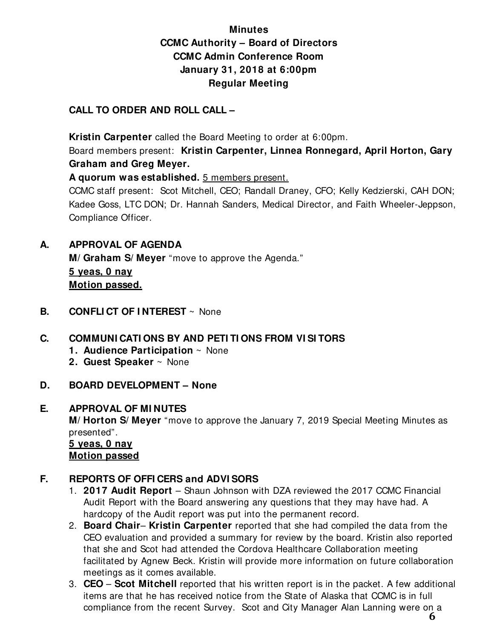#### **Minutes CCMC Authority – Board of Directors CCMC Admin Conference Room January 31, 2018 at 6:00pm Regular Meeting**

#### **CALL TO ORDER AND ROLL CALL –**

 **Kristin Carpenter** called the Board Meeting to order at 6:00pm.

Board members present: **Kristin Carpenter, Linnea Ronnegard, April Horton, Gary Graham and Greg Meyer.** 

**A quorum was established.** 5 members present.

CCMC staff present: Scot Mitchell, CEO; Randall Draney, CFO; Kelly Kedzierski, CAH DON; Kadee Goss, LTC DON; Dr. Hannah Sanders, Medical Director, and Faith Wheeler-Jeppson, Compliance Officer.

#### **A. APPROVAL OF AGENDA**

 **M/ Graham S/ Meyer** "move to approve the Agenda." **5 yeas, 0 nay Motion passed.** 

**B. CONFLI CT OF I NTEREST** ~ None

#### **C. COMMUNI CATI ONS BY AND PETI TI ONS FROM VI SI TORS**

- **1. Audience Participation** ~ None
- **2. Guest Speaker** ~ None
- **D. BOARD DEVELOPMENT None**

#### **E. APPROVAL OF MI NUTES**

**M/ Horton S/ Meyer** "move to approve the January 7, 2019 Special Meeting Minutes as presented".

 **5 yeas, 0 nay Motion passed**

#### **F. REPORTS OF OFFI CERS and ADVI SORS**

- 1. **2017 Audit Report** Shaun Johnson with DZA reviewed the 2017 CCMC Financial Audit Report with the Board answering any questions that they may have had. A hardcopy of the Audit report was put into the permanent record.
- 2. **Board Chair Kristin Carpenter** reported that she had compiled the data from the CEO evaluation and provided a summary for review by the board. Kristin also reported that she and Scot had attended the Cordova Healthcare Collaboration meeting facilitated by Agnew Beck. Kristin will provide more information on future collaboration meetings as it comes available.
- 3. **CEO Scot Mitchell** reported that his written report is in the packet. A few additional items are that he has received notice from the State of Alaska that CCMC is in full compliance from the recent Survey. Scot and City Manager Alan Lanning were on a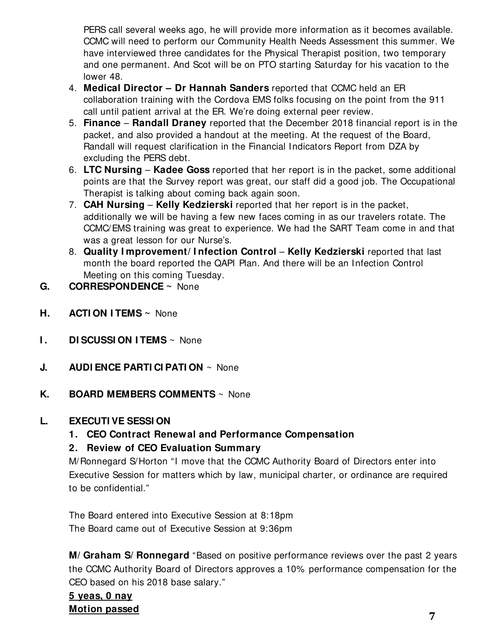PERS call several weeks ago, he will provide more information as it becomes available. CCMC will need to perform our Community Health Needs Assessment this summer. We have interviewed three candidates for the Physical Therapist position, two temporary and one permanent. And Scot will be on PTO starting Saturday for his vacation to the lower 48.

- 4. **Medical Director Dr Hannah Sanders** reported that CCMC held an ER collaboration training with the Cordova EMS folks focusing on the point from the 911 call until patient arrival at the ER. We're doing external peer review.
- 5. **Finance Randall Draney** reported that the December 2018 financial report is in the packet, and also provided a handout at the meeting. At the request of the Board, Randall will request clarification in the Financial Indicators Report from DZA by excluding the PERS debt.
- 6. **LTC Nursing Kadee Goss** reported that her report is in the packet, some additional points are that the Survey report was great, our staff did a good job. The Occupational Therapist is talking about coming back again soon.
- 7. **CAH Nursing Kelly Kedzierski** reported that her report is in the packet, additionally we will be having a few new faces coming in as our travelers rotate. The CCMC/EMS training was great to experience. We had the SART Team come in and that was a great lesson for our Nurse's.
- 8. **Quality I mprovement/ I nfection Control Kelly Kedzierski** reported that last month the board reported the QAPI Plan. And there will be an Infection Control Meeting on this coming Tuesday.
- **G. CORRESPONDENCE ~** None
- **H. ACTI ON I TEMS ~** None
- **I.** DISCUSSION ITEMS ~ None
- **J. AUDI ENCE PARTI CI PATI ON** ~ None
- **K. BOARD MEMBERS COMMENTS** ~ None

#### **L. EXECUTI VE SESSI ON**

**1. CEO Contract Renewal and Performance Compensation** 

#### **2. Review of CEO Evaluation Summary**

 M/Ronnegard S/Horton "I move that the CCMC Authority Board of Directors enter into Executive Session for matters which by law, municipal charter, or ordinance are required to be confidential."

 The Board entered into Executive Session at 8:18pm The Board came out of Executive Session at 9:36pm

**M/ Graham S/ Ronnegard** "Based on positive performance reviews over the past 2 years the CCMC Authority Board of Directors approves a 10% performance compensation for the CEO based on his 2018 base salary."

### **5 yeas, 0 nay Motion passed 7**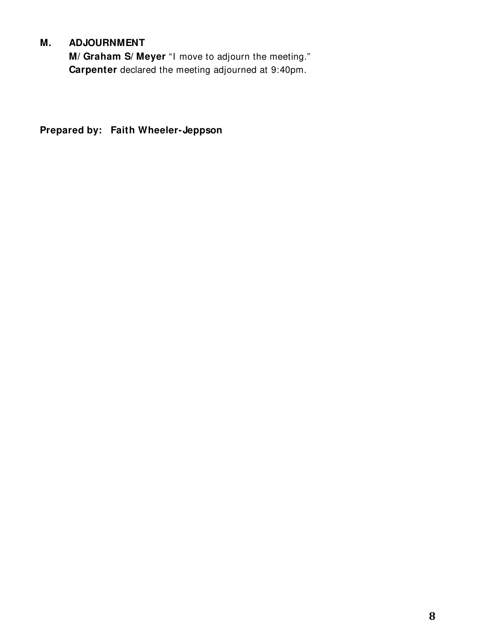#### **M. ADJOURNMENT**

**M/ Graham S/ Meyer** "I move to adjourn the meeting." **Carpenter** declared the meeting adjourned at 9:40pm.

**Prepared by: Faith Wheeler-Jeppson**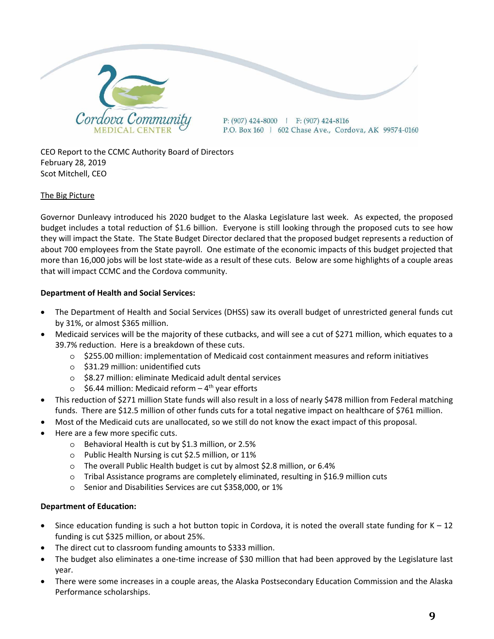

CEO Report to the CCMC Authority Board of Directors February 28, 2019 Scot Mitchell, CEO

#### The Big Picture

Governor Dunleavy introduced his 2020 budget to the Alaska Legislature last week. As expected, the proposed budget includes a total reduction of \$1.6 billion. Everyone is still looking through the proposed cuts to see how they will impact the State. The State Budget Director declared that the proposed budget represents a reduction of about 700 employees from the State payroll. One estimate of the economic impacts of this budget projected that more than 16,000 jobs will be lost state-wide as a result of these cuts. Below are some highlights of a couple areas that will impact CCMC and the Cordova community.

#### **Department of Health and Social Services:**

- The Department of Health and Social Services (DHSS) saw its overall budget of unrestricted general funds cut by 31%, or almost \$365 million.
- Medicaid services will be the majority of these cutbacks, and will see a cut of \$271 million, which equates to a 39.7% reduction. Here is a breakdown of these cuts.
	- o \$255.00 million: implementation of Medicaid cost containment measures and reform initiatives
	- o \$31.29 million: unidentified cuts
	- o \$8.27 million: eliminate Medicaid adult dental services
	- $\circ$  \$6.44 million: Medicaid reform 4<sup>th</sup> year efforts
- This reduction of \$271 million State funds will also result in a loss of nearly \$478 million from Federal matching funds. There are \$12.5 million of other funds cuts for a total negative impact on healthcare of \$761 million.
- Most of the Medicaid cuts are unallocated, so we still do not know the exact impact of this proposal.
- Here are a few more specific cuts.
	- o Behavioral Health is cut by \$1.3 million, or 2.5%
	- o Public Health Nursing is cut \$2.5 million, or 11%
	- o The overall Public Health budget is cut by almost \$2.8 million, or 6.4%
	- o Tribal Assistance programs are completely eliminated, resulting in \$16.9 million cuts
	- o Senior and Disabilities Services are cut \$358,000, or 1%

#### **Department of Education:**

- Since education funding is such a hot button topic in Cordova, it is noted the overall state funding for  $K 12$ funding is cut \$325 million, or about 25%.
- The direct cut to classroom funding amounts to \$333 million.
- The budget also eliminates a one-time increase of \$30 million that had been approved by the Legislature last year.
- There were some increases in a couple areas, the Alaska Postsecondary Education Commission and the Alaska Performance scholarships.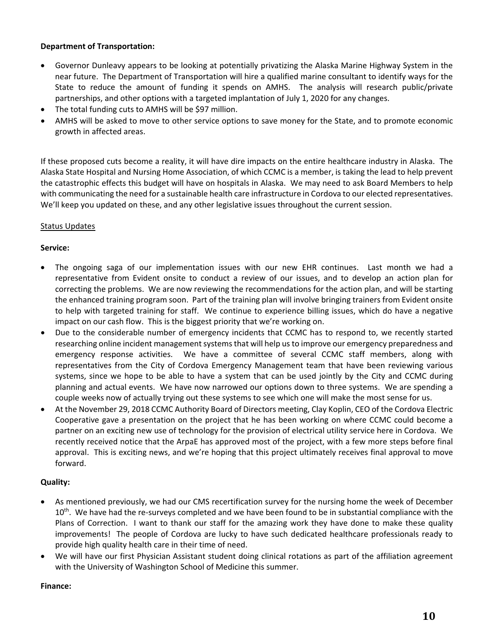#### **Department of Transportation:**

- Governor Dunleavy appears to be looking at potentially privatizing the Alaska Marine Highway System in the near future. The Department of Transportation will hire a qualified marine consultant to identify ways for the State to reduce the amount of funding it spends on AMHS. The analysis will research public/private partnerships, and other options with a targeted implantation of July 1, 2020 for any changes.
- The total funding cuts to AMHS will be \$97 million.
- AMHS will be asked to move to other service options to save money for the State, and to promote economic growth in affected areas.

If these proposed cuts become a reality, it will have dire impacts on the entire healthcare industry in Alaska. The Alaska State Hospital and Nursing Home Association, of which CCMC is a member, is taking the lead to help prevent the catastrophic effects this budget will have on hospitals in Alaska. We may need to ask Board Members to help with communicating the need for a sustainable health care infrastructure in Cordova to our elected representatives. We'll keep you updated on these, and any other legislative issues throughout the current session.

#### Status Updates

#### **Service:**

- The ongoing saga of our implementation issues with our new EHR continues. Last month we had a representative from Evident onsite to conduct a review of our issues, and to develop an action plan for correcting the problems. We are now reviewing the recommendations for the action plan, and will be starting the enhanced training program soon. Part of the training plan will involve bringing trainers from Evident onsite to help with targeted training for staff. We continue to experience billing issues, which do have a negative impact on our cash flow. This is the biggest priority that we're working on.
- Due to the considerable number of emergency incidents that CCMC has to respond to, we recently started researching online incident management systems that will help us to improve our emergency preparedness and emergency response activities. We have a committee of several CCMC staff members, along with representatives from the City of Cordova Emergency Management team that have been reviewing various systems, since we hope to be able to have a system that can be used jointly by the City and CCMC during planning and actual events. We have now narrowed our options down to three systems. We are spending a couple weeks now of actually trying out these systems to see which one will make the most sense for us.
- At the November 29, 2018 CCMC Authority Board of Directors meeting, Clay Koplin, CEO of the Cordova Electric Cooperative gave a presentation on the project that he has been working on where CCMC could become a partner on an exciting new use of technology for the provision of electrical utility service here in Cordova. We recently received notice that the ArpaE has approved most of the project, with a few more steps before final approval. This is exciting news, and we're hoping that this project ultimately receives final approval to move forward.

#### **Quality:**

- As mentioned previously, we had our CMS recertification survey for the nursing home the week of December 10<sup>th</sup>. We have had the re-surveys completed and we have been found to be in substantial compliance with the Plans of Correction. I want to thank our staff for the amazing work they have done to make these quality improvements! The people of Cordova are lucky to have such dedicated healthcare professionals ready to provide high quality health care in their time of need.
- We will have our first Physician Assistant student doing clinical rotations as part of the affiliation agreement with the University of Washington School of Medicine this summer.

#### **Finance:**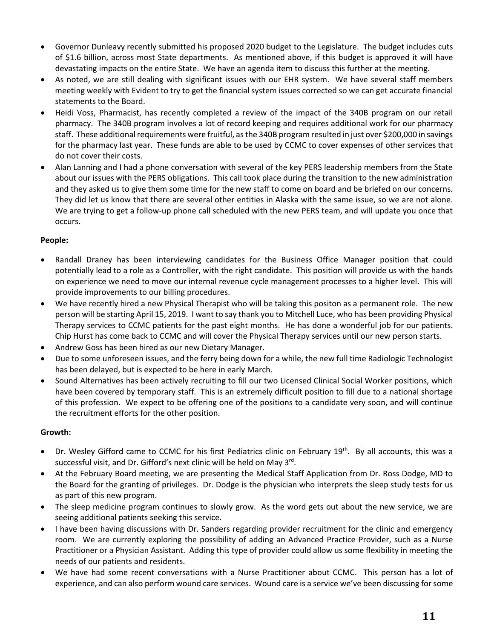- Governor Dunleavy recently submitted his proposed 2020 budget to the Legislature. The budget includes cuts of \$1.6 billion, across most State departments. As mentioned above, if this budget is approved it will have devastating impacts on the entire State. We have an agenda item to discuss this further at the meeting.
- As noted, we are still dealing with significant issues with our EHR system. We have several staff members meeting weekly with Evident to try to get the financial system issues corrected so we can get accurate financial statements to the Board.
- Heidi Voss, Pharmacist, has recently completed a review of the impact of the 340B program on our retail pharmacy. The 340B program involves a lot of record keeping and requires additional work for our pharmacy staff. These additional requirements were fruitful, asthe 340B program resulted in just over \$200,000 in savings for the pharmacy last year. These funds are able to be used by CCMC to cover expenses of other services that do not cover their costs.
- Alan Lanning and I had a phone conversation with several of the key PERS leadership members from the State about our issues with the PERS obligations. This call took place during the transition to the new administration and they asked us to give them some time for the new staff to come on board and be briefed on our concerns. They did let us know that there are several other entities in Alaska with the same issue, so we are not alone. We are trying to get a follow-up phone call scheduled with the new PERS team, and will update you once that occurs.

#### **People:**

- Randall Draney has been interviewing candidates for the Business Office Manager position that could potentially lead to a role as a Controller, with the right candidate. This position will provide us with the hands on experience we need to move our internal revenue cycle management processes to a higher level. This will provide improvements to our billing procedures.
- We have recently hired a new Physical Therapist who will be taking this positon as a permanent role. The new person will be starting April 15, 2019. I want to say thank you to Mitchell Luce, who has been providing Physical Therapy services to CCMC patients for the past eight months. He has done a wonderful job for our patients. Chip Hurst has come back to CCMC and will cover the Physical Therapy services until our new person starts.
- Andrew Goss has been hired as our new Dietary Manager.
- Due to some unforeseen issues, and the ferry being down for a while, the new full time Radiologic Technologist has been delayed, but is expected to be here in early March.
- Sound Alternatives has been actively recruiting to fill our two Licensed Clinical Social Worker positions, which have been covered by temporary staff. This is an extremely difficult position to fill due to a national shortage of this profession. We expect to be offering one of the positions to a candidate very soon, and will continue the recruitment efforts for the other position.

#### **Growth:**

- Dr. Wesley Gifford came to CCMC for his first Pediatrics clinic on February 19<sup>th</sup>. By all accounts, this was a successful visit, and Dr. Gifford's next clinic will be held on May 3<sup>rd</sup>.
- At the February Board meeting, we are presenting the Medical Staff Application from Dr. Ross Dodge, MD to the Board for the granting of privileges. Dr. Dodge is the physician who interprets the sleep study tests for us as part of this new program.
- The sleep medicine program continues to slowly grow. As the word gets out about the new service, we are seeing additional patients seeking this service.
- I have been having discussions with Dr. Sanders regarding provider recruitment for the clinic and emergency room. We are currently exploring the possibility of adding an Advanced Practice Provider, such as a Nurse Practitioner or a Physician Assistant. Adding this type of provider could allow us some flexibility in meeting the needs of our patients and residents.
- We have had some recent conversations with a Nurse Practitioner about CCMC. This person has a lot of experience, and can also perform wound care services. Wound care is a service we've been discussing forsome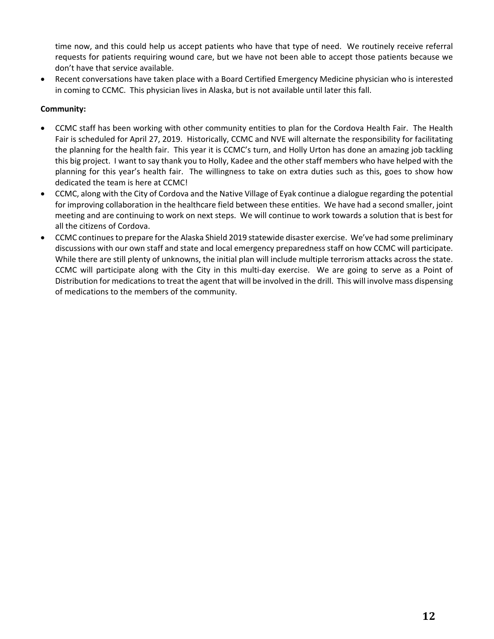time now, and this could help us accept patients who have that type of need. We routinely receive referral requests for patients requiring wound care, but we have not been able to accept those patients because we don't have that service available.

 Recent conversations have taken place with a Board Certified Emergency Medicine physician who is interested in coming to CCMC. This physician lives in Alaska, but is not available until later this fall.

#### **Community:**

- CCMC staff has been working with other community entities to plan for the Cordova Health Fair. The Health Fair is scheduled for April 27, 2019. Historically, CCMC and NVE will alternate the responsibility for facilitating the planning for the health fair. This year it is CCMC's turn, and Holly Urton has done an amazing job tackling this big project. I want to say thank you to Holly, Kadee and the other staff members who have helped with the planning for this year's health fair. The willingness to take on extra duties such as this, goes to show how dedicated the team is here at CCMC!
- CCMC, along with the City of Cordova and the Native Village of Eyak continue a dialogue regarding the potential for improving collaboration in the healthcare field between these entities. We have had a second smaller, joint meeting and are continuing to work on next steps. We will continue to work towards a solution that is best for all the citizens of Cordova.
- CCMC continues to prepare for the Alaska Shield 2019 statewide disaster exercise. We've had some preliminary discussions with our own staff and state and local emergency preparedness staff on how CCMC will participate. While there are still plenty of unknowns, the initial plan will include multiple terrorism attacks across the state. CCMC will participate along with the City in this multi‐day exercise. We are going to serve as a Point of Distribution for medicationsto treat the agent that will be involved in the drill. This will involve mass dispensing of medications to the members of the community.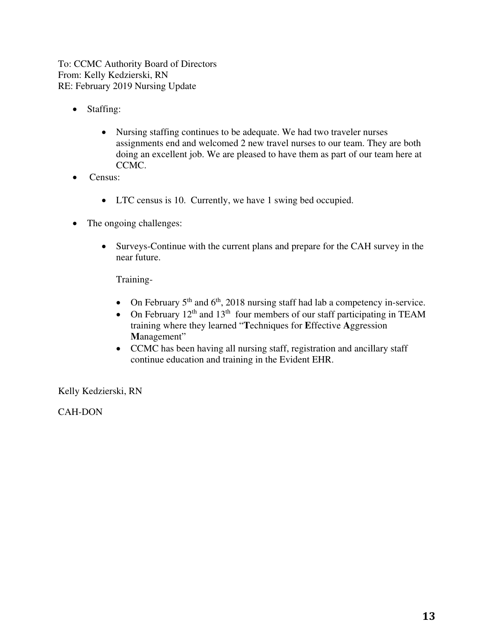To: CCMC Authority Board of Directors From: Kelly Kedzierski, RN RE: February 2019 Nursing Update

- Staffing:
	- Nursing staffing continues to be adequate. We had two traveler nurses assignments end and welcomed 2 new travel nurses to our team. They are both doing an excellent job. We are pleased to have them as part of our team here at CCMC.
- Census:
	- LTC census is 10. Currently, we have 1 swing bed occupied.
- The ongoing challenges:
	- Surveys-Continue with the current plans and prepare for the CAH survey in the near future.

Training-

- On February  $5<sup>th</sup>$  and  $6<sup>th</sup>$ , 2018 nursing staff had lab a competency in-service.
- On February  $12<sup>th</sup>$  and  $13<sup>th</sup>$  four members of our staff participating in TEAM training where they learned "**T**echniques for **E**ffective **A**ggression **M**anagement"
- CCMC has been having all nursing staff, registration and ancillary staff continue education and training in the Evident EHR.

Kelly Kedzierski, RN

CAH-DON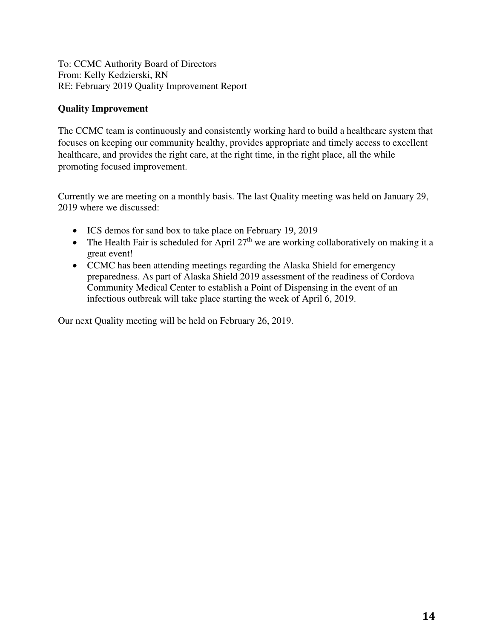To: CCMC Authority Board of Directors From: Kelly Kedzierski, RN RE: February 2019 Quality Improvement Report

#### **Quality Improvement**

The CCMC team is continuously and consistently working hard to build a healthcare system that focuses on keeping our community healthy, provides appropriate and timely access to excellent healthcare, and provides the right care, at the right time, in the right place, all the while promoting focused improvement.

Currently we are meeting on a monthly basis. The last Quality meeting was held on January 29, 2019 where we discussed:

- ICS demos for sand box to take place on February 19, 2019
- The Health Fair is scheduled for April  $27<sup>th</sup>$  we are working collaboratively on making it a great event!
- CCMC has been attending meetings regarding the Alaska Shield for emergency preparedness. As part of Alaska Shield 2019 assessment of the readiness of Cordova Community Medical Center to establish a Point of Dispensing in the event of an infectious outbreak will take place starting the week of April 6, 2019.

Our next Quality meeting will be held on February 26, 2019.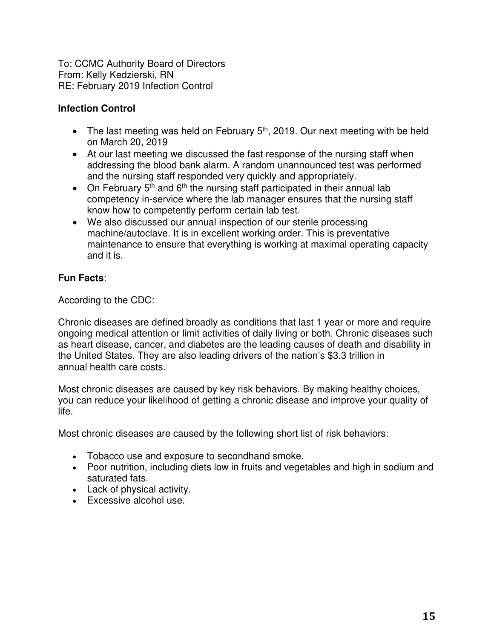To: CCMC Authority Board of Directors From: Kelly Kedzierski, RN RE: February 2019 Infection Control

#### **Infection Control**

- The last meeting was held on February  $5<sup>th</sup>$ , 2019. Our next meeting with be held on March 20, 2019
- At our last meeting we discussed the fast response of the nursing staff when addressing the blood bank alarm. A random unannounced test was performed and the nursing staff responded very quickly and appropriately.
- On February  $5<sup>th</sup>$  and  $6<sup>th</sup>$  the nursing staff participated in their annual lab competency in-service where the lab manager ensures that the nursing staff know how to competently perform certain lab test.
- We also discussed our annual inspection of our sterile processing machine/autoclave. It is in excellent working order. This is preventative maintenance to ensure that everything is working at maximal operating capacity and it is.

#### **Fun Facts**:

According to the CDC:

Chronic diseases are defined broadly as conditions that last 1 year or more and require ongoing medical attention or limit activities of daily living or both. Chronic diseases such as heart disease, cancer, and diabetes are the leading causes of death and disability in the United States. They are also leading drivers of the nation's \$3.3 trillion in annual health care costs.

Most chronic diseases are caused by key risk behaviors. By making healthy choices, you can reduce your likelihood of getting a chronic disease and improve your quality of life.

Most chronic diseases are caused by the following short list of risk behaviors:

- Tobacco use and exposure to secondhand smoke.
- Poor nutrition, including diets low in fruits and vegetables and high in sodium and saturated fats.
- Lack of physical activity.
- Excessive alcohol use.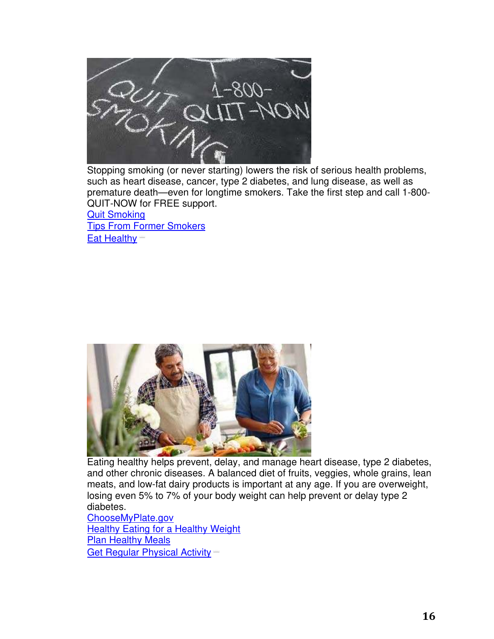

Stopping smoking (or never starting) lowers the risk of serious health problems, such as heart disease, cancer, type 2 diabetes, and lung disease, as well as premature death—even for longtime smokers. Take the first step and call 1-800- QUIT-NOW for FREE support.

Quit Smoking Tips From Former Smokers Eat Healthy



Eating healthy helps prevent, delay, and manage heart disease, type 2 diabetes, and other chronic diseases. A balanced diet of fruits, veggies, whole grains, lean meats, and low-fat dairy products is important at any age. If you are overweight, losing even 5% to 7% of your body weight can help prevent or delay type 2 diabetes.

ChooseMyPlate.gov Healthy Eating for a Healthy Weight Plan Healthy Meals Get Regular Physical Activity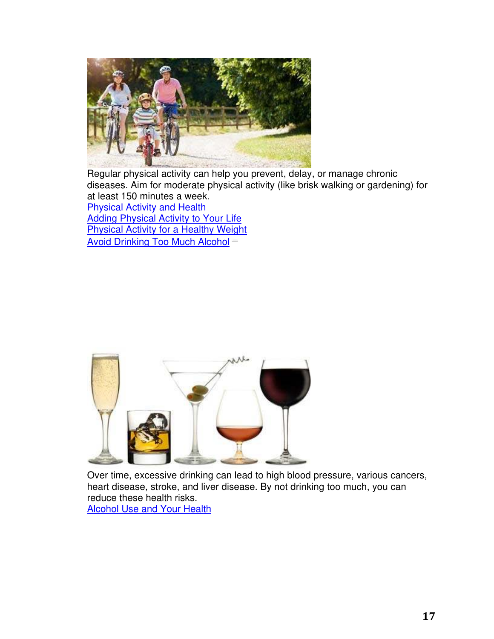

Regular physical activity can help you prevent, delay, or manage chronic diseases. Aim for moderate physical activity (like brisk walking or gardening) for at least 150 minutes a week. Physical Activity and Health Adding Physical Activity to Your Life

**Physical Activity for a Healthy Weight** Avoid Drinking Too Much Alcohol



Over time, excessive drinking can lead to high blood pressure, various cancers, heart disease, stroke, and liver disease. By not drinking too much, you can reduce these health risks. **Alcohol Use and Your Health**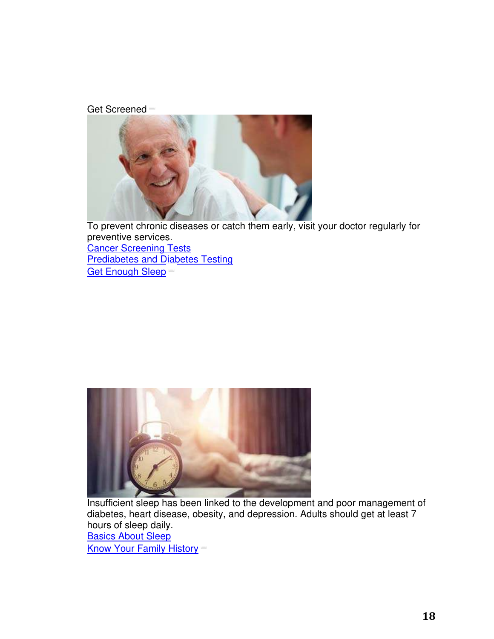Get Screened



To prevent chronic diseases or catch them early, visit your doctor regularly for preventive services. **Cancer Screening Tests Prediabetes and Diabetes Testing** Get Enough Sleep



Insufficient sleep has been linked to the development and poor management of diabetes, heart disease, obesity, and depression. Adults should get at least 7 hours of sleep daily. Basics About Sleep Know Your Family History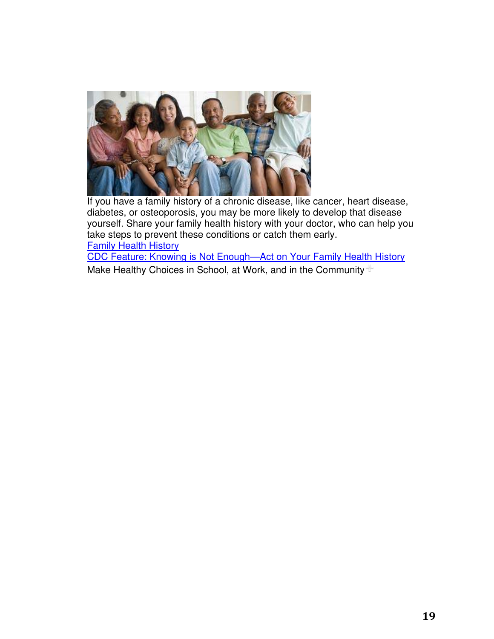

If you have a family history of a chronic disease, like cancer, heart disease, diabetes, or osteoporosis, you may be more likely to develop that disease yourself. Share your family health history with your doctor, who can help you take steps to prevent these conditions or catch them early. Family Health History

CDC Feature: Knowing is Not Enough—Act on Your Family Health History Make Healthy Choices in School, at Work, and in the Community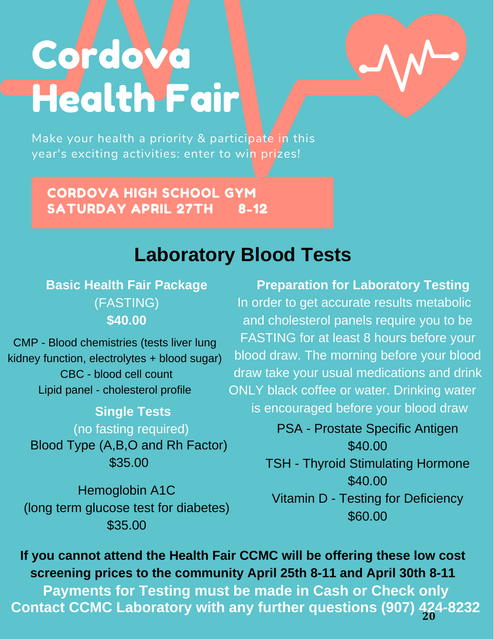# Cordova Health Fair



Make your health a priority & participate in this year's exciting activities: enter to win prizes!

CORDOVA HIGH SCHOOL GYM SATURDAY APRIL 27TH 8-12

# **Laboratory Blood Tests**

**Basic Health Fair Package** (FASTING) **\$40.00**

CMP - Blood chemistries (tests liver lung kidney function, electrolytes + blood sugar) CBC - blood cell count Lipid panel - cholesterol profile

> **Single Tests** (no fasting required) Blood Type (A,B,O and Rh Factor)

> > \$35.00

Hemoglobin A1C (long term glucose test for diabetes) \$35.00

 **Preparation for Laboratory Testing** In order to get accurate results metabolic and cholesterol panels require you to be FASTING for at least 8 hours before your blood draw. The morning before your blood draw take your usual medications and drink ONLY black coffee or water. Drinking water is encouraged before your blood draw

> PSA - Prostate Specific Antigen \$40.00 TSH - Thyroid Stimulating Hormone \$40.00 Vitamin D - Testing for Deficiency \$60.00

**If you cannot attend the Health Fair CCMC will be offering these low cost screening prices to the community April 25th 8-11 and April 30th 8-11** 

**Payments for Testing must be made in Cash or Check only Contact CCMC Laboratory with any further questions (907) 424-8232 20**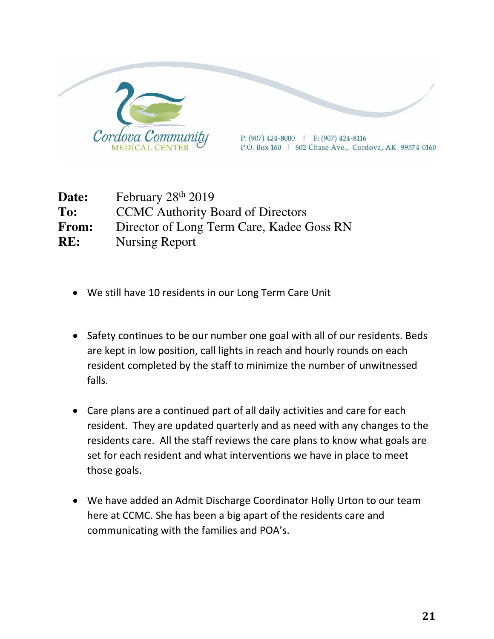

Date: February 28<sup>th</sup> 2019 **To:** CCMC Authority Board of Directors **From:** Director of Long Term Care, Kadee Goss RN **RE:** Nursing Report

- We still have 10 residents in our Long Term Care Unit
- Safety continues to be our number one goal with all of our residents. Beds are kept in low position, call lights in reach and hourly rounds on each resident completed by the staff to minimize the number of unwitnessed falls.
- Care plans are a continued part of all daily activities and care for each resident. They are updated quarterly and as need with any changes to the residents care. All the staff reviews the care plans to know what goals are set for each resident and what interventions we have in place to meet those goals.
- We have added an Admit Discharge Coordinator Holly Urton to our team here at CCMC. She has been a big apart of the residents care and communicating with the families and POA's.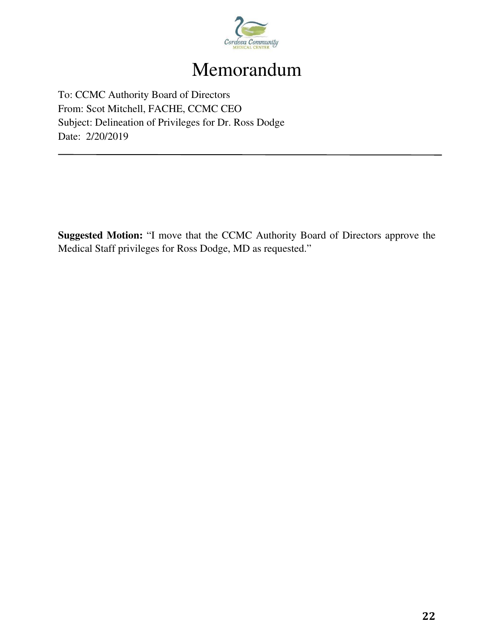

# Memorandum

To: CCMC Authority Board of Directors From: Scot Mitchell, FACHE, CCMC CEO Subject: Delineation of Privileges for Dr. Ross Dodge Date: 2/20/2019

**Suggested Motion:** "I move that the CCMC Authority Board of Directors approve the Medical Staff privileges for Ross Dodge, MD as requested."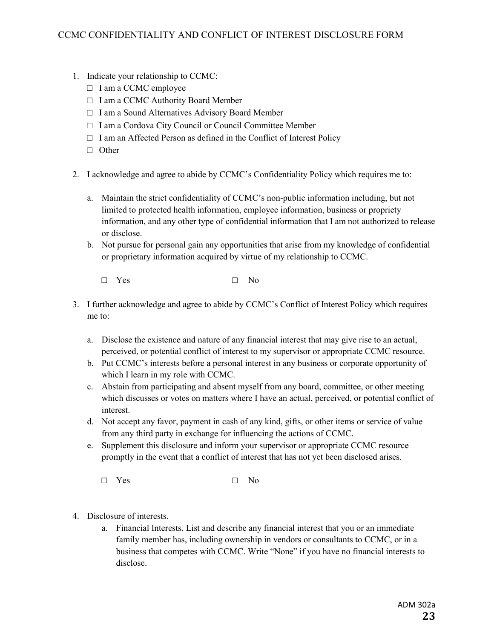- 1. Indicate your relationship to CCMC:
	- □ I am a CCMC employee
	- □ I am a CCMC Authority Board Member
	- □ I am a Sound Alternatives Advisory Board Member
	- □ I am a Cordova City Council or Council Committee Member
	- $\Box$  I am an Affected Person as defined in the Conflict of Interest Policy
	- □ Other
- 2. I acknowledge and agree to abide by CCMC's Confidentiality Policy which requires me to:
	- a. Maintain the strict confidentiality of CCMC's non-public information including, but not limited to protected health information, employee information, business or propriety information, and any other type of confidential information that I am not authorized to release or disclose.
	- b. Not pursue for personal gain any opportunities that arise from my knowledge of confidential or proprietary information acquired by virtue of my relationship to CCMC.
		- □ Yes □ No
- 3. I further acknowledge and agree to abide by CCMC's Conflict of Interest Policy which requires me to:
	- a. Disclose the existence and nature of any financial interest that may give rise to an actual, perceived, or potential conflict of interest to my supervisor or appropriate CCMC resource.
	- b. Put CCMC's interests before a personal interest in any business or corporate opportunity of which I learn in my role with CCMC.
	- c. Abstain from participating and absent myself from any board, committee, or other meeting which discusses or votes on matters where I have an actual, perceived, or potential conflict of interest.
	- d. Not accept any favor, payment in cash of any kind, gifts, or other items or service of value from any third party in exchange for influencing the actions of CCMC.
	- e. Supplement this disclosure and inform your supervisor or appropriate CCMC resource promptly in the event that a conflict of interest that has not yet been disclosed arises.
		- □ Yes □ No
- 4. Disclosure of interests.
	- a. Financial Interests. List and describe any financial interest that you or an immediate family member has, including ownership in vendors or consultants to CCMC, or in a business that competes with CCMC. Write "None" if you have no financial interests to disclose.